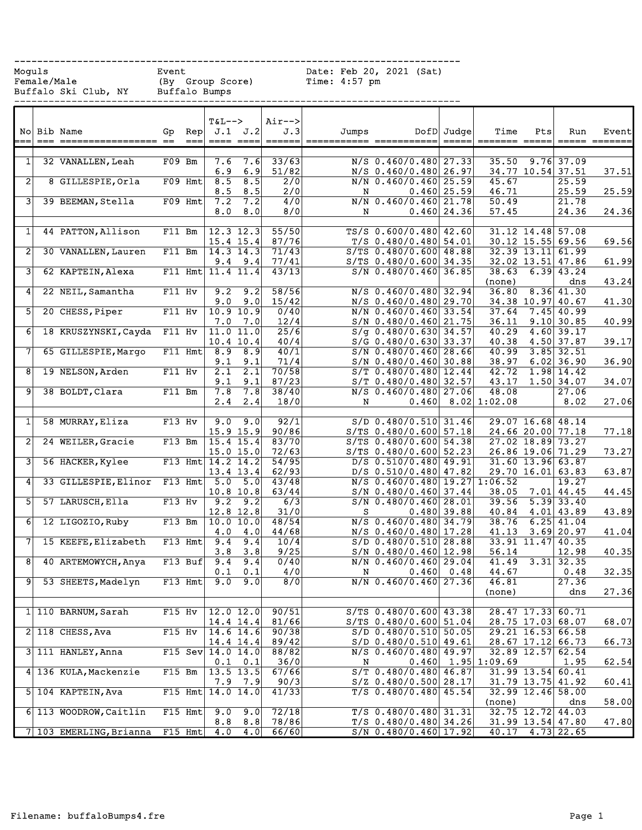------------------------------------------------------------------------------ Moguls Event Event Date: Feb 20, 2021 (Sat) Female/Male (By Group Score) Time: 4:57 pm

Buffalo Ski Club, NY Buffalo Bumps

------------------------------------------------------------------------------

|                 | $==$ | No Bib Name<br>================== | Gp<br>$=$ | Rep<br>$==$ | <b>T&amp;L--&gt;</b>   | J.1 J.2<br>==== ====   | Air--><br>J.3<br>$\qquad \qquad \doteq \qquad \qquad \doteq \qquad \qquad \doteq \qquad \qquad \doteq \qquad \qquad \doteq \qquad \qquad \doteq \qquad \qquad \qquad \doteq \qquad \qquad \doteq \qquad \qquad \doteq \qquad \qquad \doteq \qquad \qquad \doteq \qquad \qquad \doteq \qquad \qquad \doteq \qquad \qquad \doteq \qquad \qquad \doteq \qquad \qquad \doteq \qquad \qquad \doteq \qquad \qquad \doteq \qquad \qquad \doteq \qquad \qquad \doteq \qquad \qquad \doteq \qquad \qquad \$ | Jumps |                                                      | DofD Judge  | Time            | Pts<br>$=$ $=$ $=$ | Run<br>===== ==            | Event |
|-----------------|------|-----------------------------------|-----------|-------------|------------------------|------------------------|----------------------------------------------------------------------------------------------------------------------------------------------------------------------------------------------------------------------------------------------------------------------------------------------------------------------------------------------------------------------------------------------------------------------------------------------------------------------------------------------------|-------|------------------------------------------------------|-------------|-----------------|--------------------|----------------------------|-------|
|                 |      |                                   |           |             |                        |                        |                                                                                                                                                                                                                                                                                                                                                                                                                                                                                                    |       |                                                      |             |                 |                    |                            |       |
| 1 <sup>1</sup>  |      | 32 VANALLEN, Leah                 | $F09$ Bm  |             | 7.6                    | 7.6                    | 33/63                                                                                                                                                                                                                                                                                                                                                                                                                                                                                              |       | $N/S$ 0.460/0.480 27.33                              |             | 35.50           | 9.76               | 37.09                      |       |
|                 |      |                                   |           |             | 6.9                    | 6.9                    | 51/82                                                                                                                                                                                                                                                                                                                                                                                                                                                                                              |       | N/S 0.460/0.480 26.97                                |             |                 |                    | 34.77 10.54 37.51          | 37.51 |
| $\overline{2}$  |      | 8 GILLESPIE, Orla                 |           | $F09$ Hmt   | 8.5                    | 8.5                    | 2/0                                                                                                                                                                                                                                                                                                                                                                                                                                                                                                |       | N/N 0.460/0.460 25.59                                |             | 45.67           |                    | 25.59                      |       |
|                 |      |                                   |           |             | 8.5                    | 8.5                    | 2/0                                                                                                                                                                                                                                                                                                                                                                                                                                                                                                | N     |                                                      | 0.460 25.59 | 46.71           |                    | 25.59                      | 25.59 |
| 31              |      | 39 BEEMAN, Stella                 |           | F09 Hmt     | 7.2                    | 7.2                    | 4/0                                                                                                                                                                                                                                                                                                                                                                                                                                                                                                |       | N/N 0.460/0.460 21.78                                |             | 50.49           |                    | 21.78                      |       |
|                 |      |                                   |           |             | 8.0                    | 8.0                    | 8/0                                                                                                                                                                                                                                                                                                                                                                                                                                                                                                | N     |                                                      | 0.460 24.36 | 57.45           |                    | 24.36                      | 24.36 |
|                 |      |                                   |           |             |                        |                        |                                                                                                                                                                                                                                                                                                                                                                                                                                                                                                    |       |                                                      |             |                 |                    |                            |       |
| $\mathbf{1}$    |      | 44 PATTON, Allison                | $F11$ Bm  |             | $12.3$ $12.3$          |                        | 55/50                                                                                                                                                                                                                                                                                                                                                                                                                                                                                              |       | $TS/S$ 0.600/0.480 42.60                             |             |                 |                    | $31.12$ $14.48$ 57.08      |       |
|                 |      |                                   |           |             | 15.4 15.4              |                        | 87/76                                                                                                                                                                                                                                                                                                                                                                                                                                                                                              |       | $T/S$ 0.480/0.480 54.01                              |             |                 |                    | 30.12 15.55 69.56          | 69.56 |
| $\overline{2}$  |      | 30 VANALLEN, Lauren               | F11 Bm    |             | 14.3 14.3              |                        | 71/43                                                                                                                                                                                                                                                                                                                                                                                                                                                                                              |       | $S/TS$ 0.480/0.600 48.88                             |             |                 |                    | 32.39 13.11 61.99          |       |
|                 |      |                                   |           | $F11$ Hmt   | 9.4                    | 9.4                    | 77/41                                                                                                                                                                                                                                                                                                                                                                                                                                                                                              |       | $S/TS$ 0.480/0.600 34.35                             |             |                 |                    | 32.02 13.51 47.86          | 61.99 |
| 3               |      | 62 KAPTEIN, Alexa                 |           |             | 11.4 11.4              |                        | 43/13                                                                                                                                                                                                                                                                                                                                                                                                                                                                                              |       | $S/N$ 0.480/0.460 36.85                              |             | 38.63           |                    | $6.39$ 43.24<br>dns        |       |
| $\vert$         |      | 22 NEIL, Samantha                 | $F11$ Hv  |             | 9.2                    | 9.2                    | 58/56                                                                                                                                                                                                                                                                                                                                                                                                                                                                                              |       | $N/S$ 0.460/0.480 32.94                              |             | (none)<br>36.80 |                    | 8.36 41.30                 | 43.24 |
|                 |      |                                   |           |             | 9.0                    | 9.0                    | 15/42                                                                                                                                                                                                                                                                                                                                                                                                                                                                                              |       | $N/S$ 0.460/0.480 29.70                              |             |                 |                    | 34.38 10.97 40.67          | 41.30 |
| 51              |      | 20 CHESS, Piper                   | $F11$ Hv  |             |                        | 10.9 10.9              | 0/40                                                                                                                                                                                                                                                                                                                                                                                                                                                                                               |       | N/N 0.460/0.460 33.54                                |             | 37.64           |                    | $7.45$ 40.99               |       |
|                 |      |                                   |           |             | 7.0                    | 7.0                    | 12/4                                                                                                                                                                                                                                                                                                                                                                                                                                                                                               |       | S/N 0.480/0.460 21.75                                |             | 36.11           |                    | $9.10$ 30.85               | 40.99 |
| 6               |      | 18 KRUSZYNSKI, Cayda              | $F11$ Hv  |             |                        | 11.0 11.0              | 25/6                                                                                                                                                                                                                                                                                                                                                                                                                                                                                               |       | $S/g$ 0.480/0.630 34.57                              |             | 40.29           |                    | $4.60$ 39.17               |       |
|                 |      |                                   |           |             | 10.4 10.4              |                        | 40/4                                                                                                                                                                                                                                                                                                                                                                                                                                                                                               |       | S/G 0.480/0.630 33.37                                |             | 40.38           |                    | 4.50 37.87                 | 39.17 |
| 7               |      | 65 GILLESPIE, Margo               |           | F11 Hmt     | 8.9                    | 8.9                    | 40/1                                                                                                                                                                                                                                                                                                                                                                                                                                                                                               |       | $S/N$ 0.480/0.460 28.66                              |             | 40.99           |                    | $3.85$ 32.51               |       |
|                 |      |                                   |           |             | 9.1                    | 9.1                    | 71/4                                                                                                                                                                                                                                                                                                                                                                                                                                                                                               |       | $S/N$ 0.480/0.460 30.88                              |             | 38.97           |                    | $6.02$ 36.90               | 36.90 |
| 8               |      | 19 NELSON, Arden                  | F11 Hv    |             | 2.1                    | 2.1                    | 70/58                                                                                                                                                                                                                                                                                                                                                                                                                                                                                              |       | $S/T$ 0.480/0.480 12.44                              |             | 42.72           | 1.98               | 14.42                      |       |
|                 |      |                                   |           |             | 9.1                    | 9.1                    | 87/23                                                                                                                                                                                                                                                                                                                                                                                                                                                                                              |       | $S/T$ 0.480/0.480 32.57                              |             | 43.17           |                    | $1.50$ 34.07               | 34.07 |
| 91              |      | 38 BOLDT, Clara                   | $F11$ Bm  |             | 7.8                    | 7.8                    | 38/40                                                                                                                                                                                                                                                                                                                                                                                                                                                                                              |       | $N/S$ 0.460/0.480 27.06                              |             | 48.08           |                    | 27.06                      |       |
|                 |      |                                   |           |             | 2.4                    | 2.4                    | 18/0                                                                                                                                                                                                                                                                                                                                                                                                                                                                                               | N     | 0.460                                                |             | $8.02$ 1:02.08  |                    | 8.02                       | 27.06 |
|                 |      |                                   |           |             |                        |                        |                                                                                                                                                                                                                                                                                                                                                                                                                                                                                                    |       |                                                      |             |                 |                    |                            |       |
| $\mathbf{1}$    |      | 58 MURRAY, Eliza                  | $F13$ Hv  |             | 9.0                    | 9.0                    | 92/1                                                                                                                                                                                                                                                                                                                                                                                                                                                                                               |       | $S/D$ 0.480/0.510 31.46                              |             |                 | 29.07 16.68        | 48.14                      |       |
|                 |      |                                   |           |             | 15.9 15.9              |                        | 90/86                                                                                                                                                                                                                                                                                                                                                                                                                                                                                              |       | $S/TS$ 0.480/0.600 57.18                             |             |                 |                    | 24.66 20.00 77.18          | 77.18 |
| $\mathbf{2}$    |      | 24 WEILER, Gracie                 | F13 Bm    |             | 15.4 15.4<br>15.0 15.0 |                        | 83/70<br>72/63                                                                                                                                                                                                                                                                                                                                                                                                                                                                                     |       | $S/TS$ 0.480/0.600 54.38<br>$S/TS$ 0.480/0.600 52.23 |             |                 | 27.02 18.89        | 73.27<br>26.86 19.06 71.29 | 73.27 |
| 31              |      | 56 HACKER, Kylee                  |           |             | F13 Hmt $14.2$ 14.2    |                        | 54/95                                                                                                                                                                                                                                                                                                                                                                                                                                                                                              |       | $D/S$ 0.510/0.480 49.91                              |             |                 |                    | 31.60 13.96 63.87          |       |
|                 |      |                                   |           |             | 13.4 13.4              |                        | 62/93                                                                                                                                                                                                                                                                                                                                                                                                                                                                                              |       | $D/S$ 0.510/0.480 47.82                              |             |                 |                    | 29.70 16.01 63.83          | 63.87 |
| $\vert 4 \vert$ |      | 33 GILLESPIE, Elinor              |           | $F13$ Hmt   | 5.0                    | 5.0                    | 43/48                                                                                                                                                                                                                                                                                                                                                                                                                                                                                              |       | $N/S$ 0.460/0.480 19.27                              |             | 1:06.52         |                    | 19.27                      |       |
|                 |      |                                   |           |             | 10.8 10.8              |                        | 63/44                                                                                                                                                                                                                                                                                                                                                                                                                                                                                              |       | $S/N$ 0.480/0.460 37.44                              |             | 38.05           |                    | $7.01$ 44.45               | 44.45 |
| 5               |      | 57 LARUSCH, Ella                  | $F13$ Hv  |             | 9.2                    | 9.2                    | $\frac{6}{3}$                                                                                                                                                                                                                                                                                                                                                                                                                                                                                      |       | $S/N$ 0.480/0.460 28.01                              |             | 39.56           |                    | $5.39 \mid 33.40$          |       |
|                 |      |                                   |           |             | 12.8 12.8              |                        | 31/0                                                                                                                                                                                                                                                                                                                                                                                                                                                                                               | S     |                                                      | 0.480 39.88 | 40.84           |                    | 4.01 43.89                 | 43.89 |
| 6               |      | 12 LIGOZIO, Ruby                  | $F13$ Bm  |             |                        | 10.0 10.0              | 48/54                                                                                                                                                                                                                                                                                                                                                                                                                                                                                              |       | $N/S$ 0.460/0.480 34.79                              |             | 38.76           | 6.25               | 41.04                      |       |
|                 |      |                                   |           |             | 4.0                    | 4.0                    | 44/68                                                                                                                                                                                                                                                                                                                                                                                                                                                                                              |       | $N/S$ 0.460/0.480 17.28                              |             | 41.13           | 3.69               | 20.97                      | 41.04 |
| 7               |      | 15 KEEFE, Elizabeth               |           | F13 Hmt     | 9.4                    | 9.4                    | 10/4                                                                                                                                                                                                                                                                                                                                                                                                                                                                                               |       | $S/D$ 0.480/0.510 28.88                              |             | 33.91           | 11.47              | 40.35                      |       |
|                 |      |                                   |           |             | 3.8                    | 3.8                    | 9/25                                                                                                                                                                                                                                                                                                                                                                                                                                                                                               |       | $S/N$ 0.480/0.460 12.98                              |             | 56.14           |                    | 12.98                      | 40.35 |
| 8               |      | 40 ARTEMOWYCH, Anya               |           | $F13$ Buf   | 9.4                    | 9.4                    | 0/40<br>4/0                                                                                                                                                                                                                                                                                                                                                                                                                                                                                        |       | $N/N$ 0.460/0.460 29.04                              | 0.48        | 41.49           |                    | $3.31$ 32.35               | 32.35 |
| 91              |      | 53 SHEETS, Madelyn                |           | $F13$ Hmt   | 0.1                    | 0.1<br>$9.0 \quad 9.0$ | 8/0                                                                                                                                                                                                                                                                                                                                                                                                                                                                                                | N     | 0.460<br>$N/N$ 0.460/0.460 27.36                     |             | 44.67<br>46.81  |                    | 0.48<br>27.36              |       |
|                 |      |                                   |           |             |                        |                        |                                                                                                                                                                                                                                                                                                                                                                                                                                                                                                    |       |                                                      |             | (none)          |                    | dns                        | 27.36 |
|                 |      |                                   |           |             |                        |                        |                                                                                                                                                                                                                                                                                                                                                                                                                                                                                                    |       |                                                      |             |                 |                    |                            |       |
|                 |      | $1 110$ BARNUM, Sarah             | $F15$ Hv  |             |                        | 12.0 12.0              | 90/51                                                                                                                                                                                                                                                                                                                                                                                                                                                                                              |       | $S/TS$ 0.480/0.600 43.38                             |             |                 | 28.47 17.33        | 60.71                      |       |
|                 |      |                                   |           |             | 14.4 14.4              |                        | 81/66                                                                                                                                                                                                                                                                                                                                                                                                                                                                                              |       | $S/TS$ 0.480/0.600 51.04                             |             |                 |                    | 28.75 17.03 68.07          | 68.07 |
|                 |      | $2$ 118 CHESS, Ava                | $F15$ Hv  |             | $14.6$ 14.6            |                        | 90/38                                                                                                                                                                                                                                                                                                                                                                                                                                                                                              |       | $S/D$ 0.480/0.510 50.05                              |             |                 |                    | $29.21$ 16.53 66.58        |       |
|                 |      |                                   |           |             | 14.4 14.4              |                        | 89/42                                                                                                                                                                                                                                                                                                                                                                                                                                                                                              |       | S/D 0.480/0.510 49.61                                |             |                 | 28.67 17.12        | 66.73                      | 66.73 |
|                 |      | 3 111 HANLEY, Anna                |           |             | F15 Sev $14.0$ 14.0    |                        | 88/82                                                                                                                                                                                                                                                                                                                                                                                                                                                                                              |       | $N/S$ 0.460/0.480 49.97                              |             |                 | 32.89 12.57        | 62.54                      |       |
|                 |      |                                   |           |             |                        | $0.1 \quad 0.1$        | 36/0                                                                                                                                                                                                                                                                                                                                                                                                                                                                                               | N     | 0.460                                                |             | 1.95 1:09.69    |                    | 1.95                       | 62.54 |
|                 |      | 4 136 KULA, Mackenzie             | $F15$ Bm  |             |                        | $13.5$ 13.5            | 67/66                                                                                                                                                                                                                                                                                                                                                                                                                                                                                              |       | $S/T$ 0.480/0.480 46.87                              |             |                 | $31.99$ 13.54      | 60.41                      |       |
|                 |      |                                   |           |             | 7.9                    | 7.9                    | 90/3                                                                                                                                                                                                                                                                                                                                                                                                                                                                                               |       | $S/Z$ 0.480/0.500 28.17                              |             |                 |                    | $31.79$ $13.75$ $41.92$    | 60.41 |
|                 |      | 5 104 KAPTEIN, Ava                |           | $F15$ Hmt   | 14.0 14.0              |                        | 41/33                                                                                                                                                                                                                                                                                                                                                                                                                                                                                              |       | $T/S$ 0.480/0.480 45.54                              |             |                 |                    | 32.99 12.46 58.00          |       |
|                 |      | 6 113 WOODROW, Caitlin            |           | F15 Hmt     | 9.0                    | 9.0                    | 72/18                                                                                                                                                                                                                                                                                                                                                                                                                                                                                              |       | $T/S$ 0.480/0.480 31.31                              |             | (none)          |                    | dns<br>32.75 12.72 44.03   | 58.00 |
|                 |      |                                   |           |             | 8.8                    | 8.8                    | 78/86                                                                                                                                                                                                                                                                                                                                                                                                                                                                                              |       | $T/S$ 0.480/0.480 34.26                              |             |                 |                    | 31.99 13.54 47.80          | 47.80 |
|                 |      | 7 103 EMERLING, Brianna           |           | $F15$ Hmt   | 4.0                    | 4.0                    | 66/60                                                                                                                                                                                                                                                                                                                                                                                                                                                                                              |       | $S/N$ 0.480/0.460 17.92                              |             | 40.17           |                    | $4.73$ 22.65               |       |
|                 |      |                                   |           |             |                        |                        |                                                                                                                                                                                                                                                                                                                                                                                                                                                                                                    |       |                                                      |             |                 |                    |                            |       |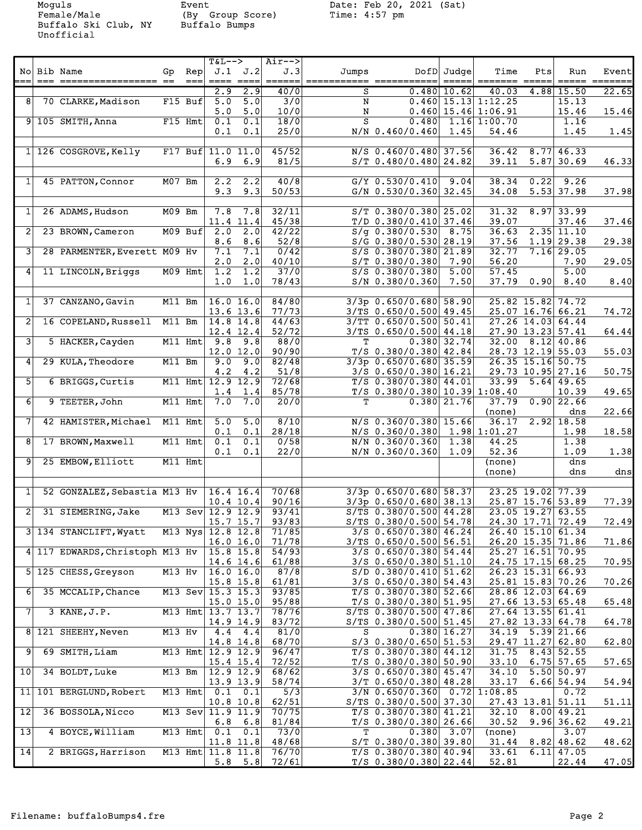Moguls Event Date: Feb 20, 2021 (Sat)<br>Female/Male (By Group Score) Time: 4:57 pm<br>Buffalo Ski Club, NY Buffalo Bumps Female/Male (By Group Score) Time: 4:57 pm Buffalo Ski Club, NY Buffalo Bumps Unofficial

|                         |                                 |           |           | <b>T&amp;L--&gt;</b> |                  | Air-->           |             |                                 |                 |                       |                     |                |       |
|-------------------------|---------------------------------|-----------|-----------|----------------------|------------------|------------------|-------------|---------------------------------|-----------------|-----------------------|---------------------|----------------|-------|
|                         | No Bib Name                     | Gp        | Rep       |                      | J.1 J.2          | J.3              | Jumps       |                                 | DofD Judge      | Time                  | Pts                 | Run            | Event |
|                         |                                 |           | $== =$    |                      | $=$ === $=$ ===  |                  | =========== |                                 |                 |                       |                     |                | ====  |
|                         |                                 |           |           |                      |                  |                  |             |                                 |                 |                       |                     |                |       |
|                         |                                 |           |           | 2.9                  | 2.9              | 40/0             | s           | 0.4801                          | 10.62           | 40.03                 | 4.88                | 15.50          | 22.65 |
| 8                       | 70 CLARKE, Madison              |           | F15 Buf   | 5.0                  | $\overline{5.0}$ | $\overline{3/0}$ | N           |                                 |                 | $0.460$ 15.13 1:12.25 |                     | 15.13          |       |
|                         |                                 |           |           | 5.0                  | 5.0              | 10/0             | N           |                                 |                 | $0.460$ 15.46 1:06.91 |                     | 15.46          | 15.46 |
|                         | $9 105$ SMITH, Anna             |           | F15 Hmt   | 0.1                  | $\overline{0.1}$ | 18/0             | s           | 0.480                           |                 | 1.16 1:00.70          |                     | 1.16           |       |
|                         |                                 |           |           | 0.1                  | 0.1              | 25/0             |             | N/N 0.460/0.460                 | 1.45            | 54.46                 |                     | 1.45           | 1.45  |
|                         |                                 |           |           |                      |                  |                  |             |                                 |                 |                       |                     |                |       |
|                         |                                 |           |           |                      |                  |                  |             |                                 |                 |                       |                     |                |       |
|                         | $1 126$ COSGROVE, Kelly         |           |           | F17 Buf $11.0$ 11.0  |                  | 45/52            |             | $N/S$ 0.460/0.480 37.56         |                 | 36.42                 |                     | $8.77$ 46.33   |       |
|                         |                                 |           |           | 6.9                  | 6.9              | 81/5             |             | $S/T$ 0.480/0.480 24.82         |                 | 39.11                 |                     | $5.87$ 30.69   | 46.33 |
|                         |                                 |           |           |                      |                  |                  |             |                                 |                 |                       |                     |                |       |
| 1                       | 45 PATTON, Connor               | M07 Bm    |           | 2.2                  | 2.2              | 40/8             |             | $G/Y$ 0.530/0.410               | 9.04            | 38.34                 | 0.22                | 9.26           |       |
|                         |                                 |           |           | 9.3                  | 9.3              | 50/53            |             | $G/N$ 0.530/0.360 32.45         |                 | 34.08                 |                     | $5.53$ 37.98   | 37.98 |
|                         |                                 |           |           |                      |                  |                  |             |                                 |                 |                       |                     |                |       |
|                         |                                 |           |           |                      |                  |                  |             |                                 |                 | 31.32                 |                     |                |       |
| 1                       | 26 ADAMS, Hudson                | M09 Bm    |           | 7.8                  | 7.8              | 32/11            |             | $S/T$ 0.380/0.380 25.02         |                 |                       |                     | $8.97$ 33.99   |       |
|                         |                                 |           |           |                      | 11.4 11.4        | 45/38            |             | $T/D$ 0.380/0.410 37.46         |                 | 39.07                 |                     | 37.46          | 37.46 |
| 2                       | 23 BROWN, Cameron               |           | M09 Buf   | 2.0                  | 2.0              | 42/22            |             | $S/g$ 0.380/0.530               | 8.75            | 36.63                 |                     | $2.35$ 11.10   |       |
|                         |                                 |           |           | 8.6                  | 8.6              | 52/8             |             | $S/G$ 0.380/0.530 28.19         |                 | 37.56                 |                     | $1.19$ 29.38   | 29.38 |
| $\overline{\mathbf{3}}$ | 28 PARMENTER, Everett M09 Hv    |           |           | 7.1                  | 7.1              | 0/42             |             | $S/S$ 0.380/0.380 21.89         |                 | 32.77                 |                     | $7.16$ 29.05   |       |
|                         |                                 |           |           | 2.0                  | 2.0              | 40/10            |             | $S/T$ 0.380/0.380               | 7.90            | 56.20                 |                     | 7.90           | 29.05 |
|                         |                                 |           |           |                      |                  |                  |             |                                 |                 |                       |                     | 5.00           |       |
| 4                       | 11 LINCOLN, Briggs              |           | M09 Hmt   | 1.2                  | 1.2              | 37/0             |             | $S/S$ 0.380/0.380               | 5.00            | 57.45                 |                     |                |       |
|                         |                                 |           |           | 1.0                  | 1.0              | 78/43            |             | S/N 0.380/0.360                 | 7.50            | 37.79                 | 0.90                | 8.40           | 8.40  |
|                         |                                 |           |           |                      |                  |                  |             |                                 |                 |                       |                     |                |       |
| $\mathbf{1}$            | 37 CANZANO, Gavin               | M11 Bm    |           |                      | 16.016.0         | 84/80            |             | $3/3p$ 0.650/0.680 58.90        |                 |                       | 25.82 15.82 74.72   |                |       |
|                         |                                 |           |           |                      | $13.6$ $13.6$    | 77/73            |             | 3/TS 0.650/0.500 49.45          |                 |                       | 25.07 16.76 66.21   |                | 74.72 |
| 2                       | 16 COPELAND, Russell            | M11 Bm    |           |                      | 14.8 14.8        | 44/63            |             | 3/TT 0.650/0.500 50.41          |                 |                       | $27.26$ 14.03 64.44 |                |       |
|                         |                                 |           |           |                      |                  |                  |             |                                 |                 |                       |                     |                |       |
|                         |                                 |           |           |                      | 12.4 12.4        | 52/72            |             | $3/TS$ 0.650/0.500 44.18        |                 |                       | 27.90 13.23 57.41   |                | 64.44 |
| उ।                      | 5 HACKER, Cayden                |           | M11 Hmt   | 9.8                  | 9.8              | 88/0             | т           |                                 | $0.380$ 32.74   | 32.00                 |                     | $8.12$ 40.86   |       |
|                         |                                 |           |           |                      | 12.0 12.0        | 90/90            |             | $T/S$ 0.380/0.380 42.84         |                 |                       | 28.73 12.19 55.03   |                | 55.03 |
| 4                       | 29 KULA, Theodore               | M11 Bm    |           | 9.0                  | 9.0              | 82/48            |             | $3/3p$ 0.650/0.680 35.59        |                 |                       | 26.35 15.16 50.75   |                |       |
|                         |                                 |           |           | 4.2                  | 4.2              | 51/8             |             | $3/S$ 0.650/0.380 16.21         |                 |                       | 29.73 10.95 27.16   |                | 50.75 |
| 5                       | 6 BRIGGS, Curtis                |           | M11 Hmt   |                      | $12.9$ 12.9      | 72/68            |             | $T/S$ 0.380/0.380 44.01         |                 | 33.99                 |                     | $5.64$ 49.65   |       |
|                         |                                 |           |           |                      |                  |                  |             |                                 |                 |                       |                     |                |       |
|                         |                                 |           |           | 1.4                  | 1.4              | 85/78            |             | $T/S$ 0.380/0.380 10.39 1:08.40 |                 |                       |                     | 10.39          | 49.65 |
| 6                       | 9 TEETER, John                  |           | M11 Hmt   | 7.0                  | 7.0              | 20/0             | T           |                                 | $0.380$   21.76 | 37.79                 |                     | $0.90$ 22.66   |       |
|                         |                                 |           |           |                      |                  |                  |             |                                 |                 | (none)                |                     | dns            | 22.66 |
| 7                       | 42 HAMISTER, Michael            | $M11$ Hmt |           | 5.0                  | 5.0              | 8/10             |             | $N/S$ 0.360/0.380 15.66         |                 | 36.17                 |                     | $2.92$ 18.58   |       |
|                         |                                 |           |           | 0.1                  | 0.1              | 28/18            |             | N/S 0.360/0.380                 |                 | 1.98 1:01.27          |                     | 1.98           | 18.58 |
| 8 <sup>1</sup>          | 17 BROWN, Maxwell               |           | M11 Hmt   | 0.1                  | 0.1              | 0/58             |             | N/N 0.360/0.360                 | 1.38            | 44.25                 |                     | 1.38           |       |
|                         |                                 |           |           |                      |                  |                  |             |                                 |                 |                       |                     |                |       |
|                         |                                 |           |           | 0.1                  | 0.1              | 22/0             |             | N/N 0.360/0.360                 | 1.09            | 52.36                 |                     | 1.09           | 1.38  |
| 9                       | 25 EMBOW, Elliott               |           | M11 Hmt   |                      |                  |                  |             |                                 |                 | (none)                |                     | dns            |       |
|                         |                                 |           |           |                      |                  |                  |             |                                 |                 | (none)                |                     | dns            | dns   |
|                         |                                 |           |           |                      |                  |                  |             |                                 |                 |                       |                     |                |       |
| 1                       | 52 GONZALEZ, Sebastia M13 Hv    |           |           |                      | $16.4$ 16.4      | 70/68            |             | $3/3p$ 0.650/0.680 58.37        |                 |                       | 23.25 19.02 77.39   |                |       |
|                         |                                 |           |           |                      | 10.4 10.4        | 90/16            |             | $3/3p$ 0.650/0.680 38.13        |                 |                       | 25.87 15.76 53.89   |                | 77.39 |
|                         |                                 |           |           |                      |                  |                  |             |                                 |                 |                       |                     |                |       |
| 2                       | 31 SIEMERING, Jake              |           |           | M13 Sev $12.9$ 12.9  |                  | 93/41            |             | $S/TS$ 0.380/0.500 44.28        |                 |                       | 23.05 19.27 63.55   |                |       |
|                         |                                 |           |           |                      | $15.7$ $15.7$    | 93/83            |             | $S/TS$ 0.380/0.500 54.78        |                 |                       | 24.30 17.71 72.49   |                | 72.49 |
|                         | 3 134 STANCLIFT, Wyatt          |           |           | M13 Nys 12.8 12.8    |                  | 71/85            |             | $3/S$ 0.650/0.380 46.24         |                 |                       | 26.40 15.10 61.34   |                |       |
|                         |                                 |           |           |                      | 16.0 16.0        | 71/78            |             | 3/TS 0.650/0.500 56.51          |                 |                       | 26.20 15.35 71.86   |                | 71.86 |
|                         | 4 117 EDWARDS, Christoph M13 Hv |           |           |                      | 15.8 15.8        | 54/93            |             | $3/S$ 0.650/0.380 54.44         |                 |                       | 25.27 16.51 70.95   |                |       |
|                         |                                 |           |           |                      | $14.6$ 14.6      | 61/88            |             | $3/S$ 0.650/0.380 51.10         |                 |                       | 24.75 17.15 68.25   |                | 70.95 |
|                         |                                 |           |           |                      |                  |                  |             |                                 |                 |                       |                     |                |       |
|                         | 5 125 CHESS, Greyson            | $M13$ Hv  |           |                      | 16.0 16.0        | 87/8             |             | $S/D$ 0.380/0.410 51.62         |                 |                       | $26.23$ 15.31 66.93 |                |       |
|                         |                                 |           |           |                      | 15.8 15.8        | 61/81            |             | $3/S$ 0.650/0.380 54.43         |                 |                       | 25.81 15.83 70.26   |                | 70.26 |
| 6                       | 35 MCCALIP, Chance              |           |           | M13 Sev 15.3 15.3    |                  | 93/85            |             | $T/S$ 0.380/0.380 52.66         |                 |                       | 28.86 12.03 64.69   |                |       |
|                         |                                 |           |           |                      | $15.0$ 15.0      | 95/88            |             | $T/S$ 0.380/0.380 51.95         |                 |                       | $27.66$ 13.53 65.48 |                | 65.48 |
| $\overline{7}$          | 3 KANE, J.P.                    |           |           | M13 Hmt 13.7 13.7    |                  | 78/76            |             | $S/TS$ 0.380/0.500 47.86        |                 |                       | $27.64$ 13.55 61.41 |                |       |
|                         |                                 |           |           |                      | 14.9 14.9        | 83/72            |             | S/TS 0.380/0.500 51.45          |                 |                       | $27.82$ 13.33 64.78 |                | 64.78 |
|                         |                                 |           |           |                      |                  |                  |             |                                 |                 |                       |                     |                |       |
| 81                      | 121 SHEEHY, Neven               | M13 Hv    |           | 4.4                  | 4.4              | 81/0             | s           |                                 | $0.380$ 16.27   | 34.19                 |                     | 5.39 21.66     |       |
|                         |                                 |           |           |                      | 14.8 14.8        | 68/70            |             | $S/3$ 0.380/0.650 51.53         |                 |                       | 29.47 11.27 62.80   |                | 62.80 |
| 9                       | 69 SMITH, Liam                  |           | $M13$ Hmt |                      | 12.9 12.9        | 96/47            |             | $T/S$ 0.380/0.380 44.12         |                 | 31.75                 |                     | 8.43 52.55     |       |
|                         |                                 |           |           |                      | 15.4 15.4        | 72/52            |             | $T/S$ 0.380/0.380 50.90         |                 | 33.10                 |                     | $6.75$ 57.65   | 57.65 |
| 10 <sup>1</sup>         | 34 BOLDT, Luke                  | M13 Bm    |           |                      | $12.9$ $12.9$    | 68/62            |             | $3/S$ 0.650/0.380 45.47         |                 | 34.10                 |                     | 5.50 50.97     |       |
|                         |                                 |           |           |                      |                  | 58/74            |             | $3/T$ 0.650/0.380 48.28         |                 | 33.17                 |                     | $6.66$ 54.94   | 54.94 |
|                         |                                 |           |           |                      | 13.9 13.9        |                  |             |                                 |                 |                       |                     |                |       |
| 11                      | 101 BERGLUND, Robert            |           | M13 Hmt   | 0.1                  | 0.1              | 5/3              |             | $3/N$ 0.650/0.360               | 0.72            | 1:08.85               |                     | 0.72           |       |
|                         |                                 |           |           |                      | $10.8$ 10.8      | 62/51            |             | S/TS 0.380/0.500 37.30          |                 |                       | 27.43 13.81 51.11   |                | 51.11 |
| 12                      | 36 BOSSOLA, Nicco               |           |           | M13 Sev 11.9 11.9    |                  | 70/75            |             | $T/S$ 0.380/0.380 41.21         |                 | 32.10                 |                     | 8.00 49.21     |       |
|                         |                                 |           |           | 6.8                  | 6.8              | 81/84            |             | T/S 0.380/0.380 26.66           |                 | 30.52                 |                     | $9.96$ 36.62   | 49.21 |
| 13                      | 4 BOYCE, William                |           | M13 Hmt   | 0.1                  | 0.1              | 73/0             | т           | 0.380                           | 3.07            | (none)                |                     | 3.07           |       |
|                         |                                 |           |           |                      |                  |                  |             |                                 |                 |                       |                     |                |       |
|                         |                                 |           |           |                      | 11.8 11.8        | 48/68            |             | $S/T$ 0.380/0.380 39.80         |                 | 31.44                 |                     | $8.82$ 48.62   | 48.62 |
| $\overline{14}$         | 2 BRIGGS, Harrison              |           |           | M13 Hmt 11.8 11.8    |                  | 76/70            |             | $T/S$ 0.380/0.380 40.94         |                 | 33.61                 |                     | $6.11$   47.05 |       |
|                         |                                 |           |           |                      | $5.8$ $5.8$      | 72/61            |             | $T/S$ 0.380/0.380 22.44         |                 | 52.81                 |                     | 22.44          | 47.05 |
|                         |                                 |           |           |                      |                  |                  |             |                                 |                 |                       |                     |                |       |